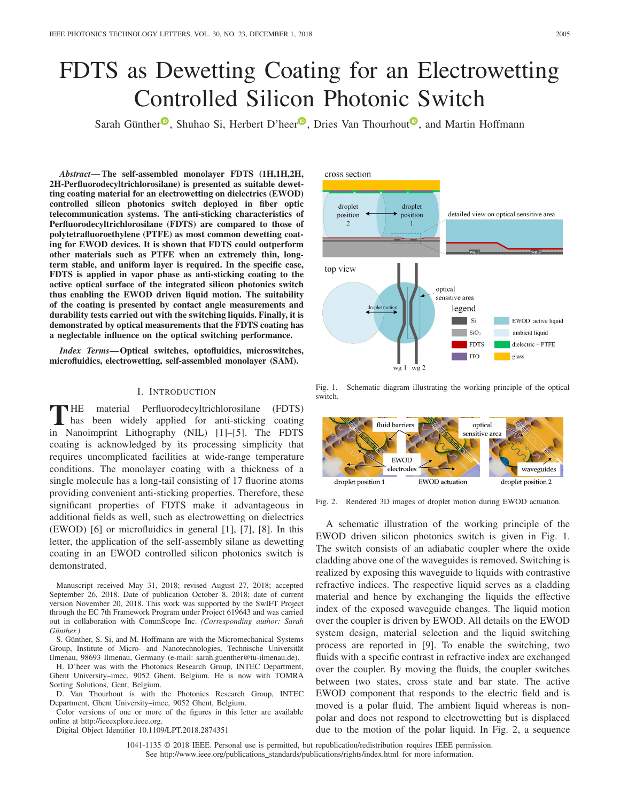# FDTS as Dewetting Coating for an Electrowetting Controlled Silicon Photonic Switch

Sarah Günther<sup>®</sup>[,](https://orcid.org/0000-0001-5880-1001) Shuhao Si, Herbert D'heer<sup>®</sup>, Dries Van Thourhout<sup>®</sup>, and Martin Hoffmann

*Abstract***— The self-assembled monolayer FDTS (1H,1H,2H, 2H-Perfluorodecyltrichlorosilane) is presented as suitable dewetting coating material for an electrowetting on dielectrics (EWOD) controlled silicon photonics switch deployed in fiber optic telecommunication systems. The anti-sticking characteristics of Perfluorodecyltrichlorosilane (FDTS) are compared to those of polytetrafluoroethylene (PTFE) as most common dewetting coating for EWOD devices. It is shown that FDTS could outperform other materials such as PTFE when an extremely thin, longterm stable, and uniform layer is required. In the specific case, FDTS is applied in vapor phase as anti-sticking coating to the active optical surface of the integrated silicon photonics switch thus enabling the EWOD driven liquid motion. The suitability of the coating is presented by contact angle measurements and durability tests carried out with the switching liquids. Finally, it is demonstrated by optical measurements that the FDTS coating has a neglectable influence on the optical switching performance.**

*Index Terms***— Optical switches, optofluidics, microswitches, microfluidics, electrowetting, self-assembled monolayer (SAM).**

#### I. INTRODUCTION

THE material Perfluorodecyltrichlorosilane (FDTS)<br>has been widely applied for anti-sticking coating<br> $\frac{1}{2}$ in Nanoimprint Lithography (NIL) [1]–[5]. The FDTS coating is acknowledged by its processing simplicity that requires uncomplicated facilities at wide-range temperature conditions. The monolayer coating with a thickness of a single molecule has a long-tail consisting of 17 fluorine atoms providing convenient anti-sticking properties. Therefore, these significant properties of FDTS make it advantageous in additional fields as well, such as electrowetting on dielectrics (EWOD) [6] or microfluidics in general [1], [7], [8]. In this letter, the application of the self-assembly silane as dewetting coating in an EWOD controlled silicon photonics switch is demonstrated.

Manuscript received May 31, 2018; revised August 27, 2018; accepted September 26, 2018. Date of publication October 8, 2018; date of current version November 20, 2018. This work was supported by the SwIFT Project through the EC 7th Framework Program under Project 619643 and was carried out in collaboration with CommScope Inc. *(Corresponding author: Sarah Günther.)*

S. Günther, S. Si, and M. Hoffmann are with the Micromechanical Systems Group, Institute of Micro- and Nanotechnologies, Technische Universität Ilmenau, 98693 Ilmenau, Germany (e-mail: sarah.guenther@tu-ilmenau.de).

H. D'heer was with the Photonics Research Group, INTEC Department, Ghent University–imec, 9052 Ghent, Belgium. He is now with TOMRA Sorting Solutions, Gent, Belgium.

D. Van Thourhout is with the Photonics Research Group, INTEC Department, Ghent University–imec, 9052 Ghent, Belgium.

Color versions of one or more of the figures in this letter are available online at http://ieeexplore.ieee.org.

Digital Object Identifier 10.1109/LPT.2018.2874351

cross section droplet droplet position position detailed view on optical sensitive area  $\mathcal{L}$ top view optical sensitive area roplet motion legend Si EWOD active liquid  $SiO<sub>2</sub>$ ambient liquid FDTS dielectric + PTFE  $\Box$  ITO glass wg 1  $\overline{wg} 2$ 

Fig. 1. Schematic diagram illustrating the working principle of the optical switch.



Fig. 2. Rendered 3D images of droplet motion during EWOD actuation.

A schematic illustration of the working principle of the EWOD driven silicon photonics switch is given in Fig. 1. The switch consists of an adiabatic coupler where the oxide cladding above one of the waveguides is removed. Switching is realized by exposing this waveguide to liquids with contrastive refractive indices. The respective liquid serves as a cladding material and hence by exchanging the liquids the effective index of the exposed waveguide changes. The liquid motion over the coupler is driven by EWOD. All details on the EWOD system design, material selection and the liquid switching process are reported in [9]. To enable the switching, two fluids with a specific contrast in refractive index are exchanged over the coupler. By moving the fluids, the coupler switches between two states, cross state and bar state. The active EWOD component that responds to the electric field and is moved is a polar fluid. The ambient liquid whereas is nonpolar and does not respond to electrowetting but is displaced due to the motion of the polar liquid. In Fig. 2, a sequence

1041-1135 © 2018 IEEE. Personal use is permitted, but republication/redistribution requires IEEE permission. See http://www.ieee.org/publications\_standards/publications/rights/index.html for more information.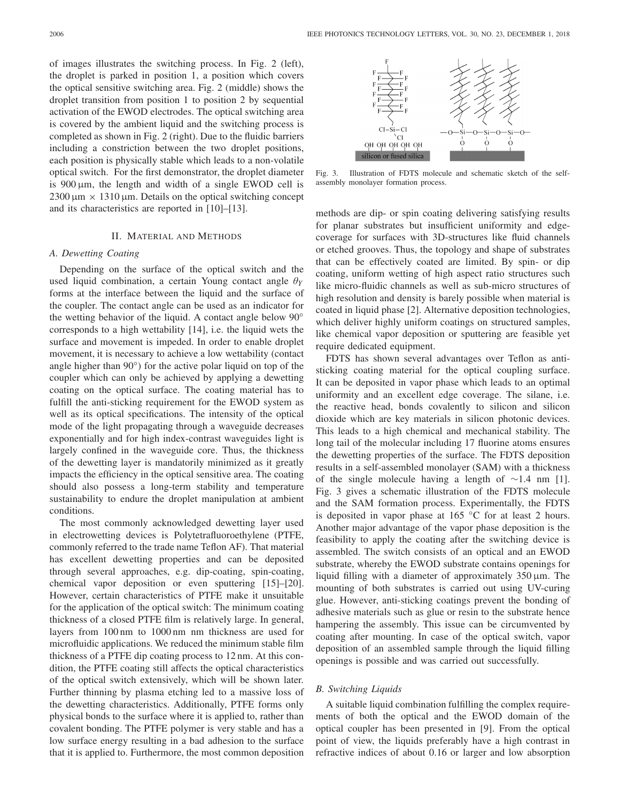of images illustrates the switching process. In Fig. 2 (left), the droplet is parked in position 1, a position which covers the optical sensitive switching area. Fig. 2 (middle) shows the droplet transition from position 1 to position 2 by sequential activation of the EWOD electrodes. The optical switching area is covered by the ambient liquid and the switching process is completed as shown in Fig. 2 (right). Due to the fluidic barriers including a constriction between the two droplet positions, each position is physically stable which leads to a non-volatile optical switch. For the first demonstrator, the droplet diameter is  $900 \mu m$ , the length and width of a single EWOD cell is  $2300 \,\mu m \times 1310 \,\mu m$ . Details on the optical switching concept and its characteristics are reported in [10]–[13].

# II. MATERIAL AND METHODS

# *A. Dewetting Coating*

Depending on the surface of the optical switch and the used liquid combination, a certain Young contact angle θ*Y* forms at the interface between the liquid and the surface of the coupler. The contact angle can be used as an indicator for the wetting behavior of the liquid. A contact angle below 90° corresponds to a high wettability [14], i.e. the liquid wets the surface and movement is impeded. In order to enable droplet movement, it is necessary to achieve a low wettability (contact angle higher than 90◦) for the active polar liquid on top of the coupler which can only be achieved by applying a dewetting coating on the optical surface. The coating material has to fulfill the anti-sticking requirement for the EWOD system as well as its optical specifications. The intensity of the optical mode of the light propagating through a waveguide decreases exponentially and for high index-contrast waveguides light is largely confined in the waveguide core. Thus, the thickness of the dewetting layer is mandatorily minimized as it greatly impacts the efficiency in the optical sensitive area. The coating should also possess a long-term stability and temperature sustainability to endure the droplet manipulation at ambient conditions.

The most commonly acknowledged dewetting layer used in electrowetting devices is Polytetrafluoroethylene (PTFE, commonly referred to the trade name Teflon AF). That material has excellent dewetting properties and can be deposited through several approaches, e.g. dip-coating, spin-coating, chemical vapor deposition or even sputtering [15]–[20]. However, certain characteristics of PTFE make it unsuitable for the application of the optical switch: The minimum coating thickness of a closed PTFE film is relatively large. In general, layers from 100 nm to 1000 nm nm thickness are used for microfluidic applications. We reduced the minimum stable film thickness of a PTFE dip coating process to 12 nm. At this condition, the PTFE coating still affects the optical characteristics of the optical switch extensively, which will be shown later. Further thinning by plasma etching led to a massive loss of the dewetting characteristics. Additionally, PTFE forms only physical bonds to the surface where it is applied to, rather than covalent bonding. The PTFE polymer is very stable and has a low surface energy resulting in a bad adhesion to the surface that it is applied to. Furthermore, the most common deposition



Fig. 3. Illustration of FDTS molecule and schematic sketch of the selfassembly monolayer formation process.

methods are dip- or spin coating delivering satisfying results for planar substrates but insufficient uniformity and edgecoverage for surfaces with 3D-structures like fluid channels or etched grooves. Thus, the topology and shape of substrates that can be effectively coated are limited. By spin- or dip coating, uniform wetting of high aspect ratio structures such like micro-fluidic channels as well as sub-micro structures of high resolution and density is barely possible when material is coated in liquid phase [2]. Alternative deposition technologies, which deliver highly uniform coatings on structured samples, like chemical vapor deposition or sputtering are feasible yet require dedicated equipment.

FDTS has shown several advantages over Teflon as antisticking coating material for the optical coupling surface. It can be deposited in vapor phase which leads to an optimal uniformity and an excellent edge coverage. The silane, i.e. the reactive head, bonds covalently to silicon and silicon dioxide which are key materials in silicon photonic devices. This leads to a high chemical and mechanical stability. The long tail of the molecular including 17 fluorine atoms ensures the dewetting properties of the surface. The FDTS deposition results in a self-assembled monolayer (SAM) with a thickness of the single molecule having a length of ∼1.4 nm [1]. Fig. 3 gives a schematic illustration of the FDTS molecule and the SAM formation process. Experimentally, the FDTS is deposited in vapor phase at 165 ◦C for at least 2 hours. Another major advantage of the vapor phase deposition is the feasibility to apply the coating after the switching device is assembled. The switch consists of an optical and an EWOD substrate, whereby the EWOD substrate contains openings for liquid filling with a diameter of approximately  $350 \mu m$ . The mounting of both substrates is carried out using UV-curing glue. However, anti-sticking coatings prevent the bonding of adhesive materials such as glue or resin to the substrate hence hampering the assembly. This issue can be circumvented by coating after mounting. In case of the optical switch, vapor deposition of an assembled sample through the liquid filling openings is possible and was carried out successfully.

## *B. Switching Liquids*

A suitable liquid combination fulfilling the complex requirements of both the optical and the EWOD domain of the optical coupler has been presented in [9]. From the optical point of view, the liquids preferably have a high contrast in refractive indices of about 0.16 or larger and low absorption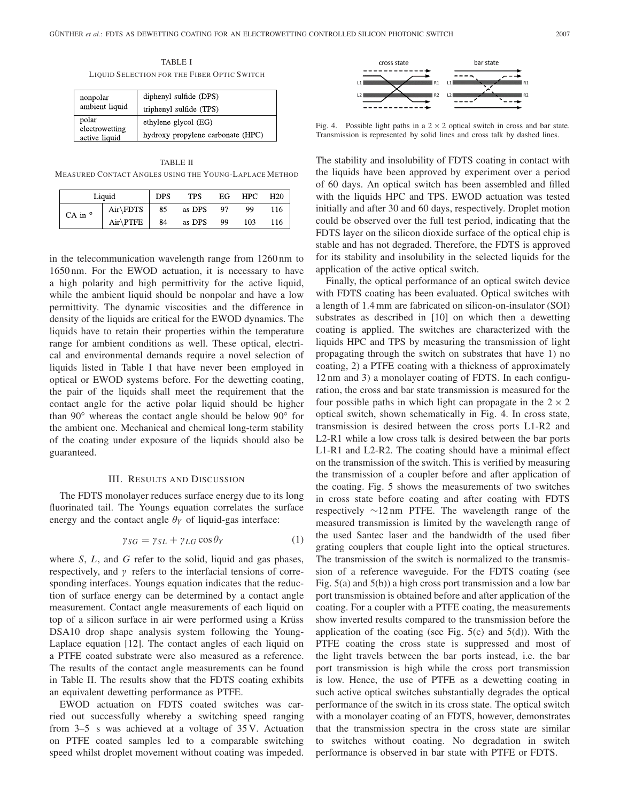TABLE I LIQUID SELECTION FOR THE FIBER OPTIC SWITCH

| nonpolar<br>ambient liquid | diphenyl sulfide (DPS)            |  |  |
|----------------------------|-----------------------------------|--|--|
|                            | triphenyl sulfide (TPS)           |  |  |
| polar<br>electrowetting    | ethylene glycol (EG)              |  |  |
| active liquid              | hydroxy propylene carbonate (HPC) |  |  |

TABLE II MEASURED CONTACT ANGLES USING THE YOUNG-LAPLACE METHOD

| Liquid        |            | <b>DPS</b> | <b>TPS</b> | EG | <b>HPC</b> | H20 |
|---------------|------------|------------|------------|----|------------|-----|
| CA in $\circ$ | $Air\FDTS$ | 85         | as DPS     | 97 | 99         | 116 |
|               | $Air\PTFE$ | 84         | as DPS     | 99 | 103        | 116 |

in the telecommunication wavelength range from 1260 nm to 1650 nm. For the EWOD actuation, it is necessary to have a high polarity and high permittivity for the active liquid, while the ambient liquid should be nonpolar and have a low permittivity. The dynamic viscosities and the difference in density of the liquids are critical for the EWOD dynamics. The liquids have to retain their properties within the temperature range for ambient conditions as well. These optical, electrical and environmental demands require a novel selection of liquids listed in Table I that have never been employed in optical or EWOD systems before. For the dewetting coating, the pair of the liquids shall meet the requirement that the contact angle for the active polar liquid should be higher than 90◦ whereas the contact angle should be below 90◦ for the ambient one. Mechanical and chemical long-term stability of the coating under exposure of the liquids should also be guaranteed.

#### III. RESULTS AND DISCUSSION

The FDTS monolayer reduces surface energy due to its long fluorinated tail. The Youngs equation correlates the surface energy and the contact angle  $\theta_Y$  of liquid-gas interface:

$$
\gamma_{SG} = \gamma_{SL} + \gamma_{LG} \cos \theta_Y \tag{1}
$$

where *S*, *L*, and *G* refer to the solid, liquid and gas phases, respectively, and  $\gamma$  refers to the interfacial tensions of corresponding interfaces. Youngs equation indicates that the reduction of surface energy can be determined by a contact angle measurement. Contact angle measurements of each liquid on top of a silicon surface in air were performed using a Krüss DSA10 drop shape analysis system following the Young-Laplace equation [12]. The contact angles of each liquid on a PTFE coated substrate were also measured as a reference. The results of the contact angle measurements can be found in Table II. The results show that the FDTS coating exhibits an equivalent dewetting performance as PTFE.

EWOD actuation on FDTS coated switches was carried out successfully whereby a switching speed ranging from 3–5 s was achieved at a voltage of 35 V. Actuation on PTFE coated samples led to a comparable switching speed whilst droplet movement without coating was impeded.



Fig. 4. Possible light paths in a  $2 \times 2$  optical switch in cross and bar state. Transmission is represented by solid lines and cross talk by dashed lines.

The stability and insolubility of FDTS coating in contact with the liquids have been approved by experiment over a period of 60 days. An optical switch has been assembled and filled with the liquids HPC and TPS. EWOD actuation was tested initially and after 30 and 60 days, respectively. Droplet motion could be observed over the full test period, indicating that the FDTS layer on the silicon dioxide surface of the optical chip is stable and has not degraded. Therefore, the FDTS is approved for its stability and insolubility in the selected liquids for the application of the active optical switch.

Finally, the optical performance of an optical switch device with FDTS coating has been evaluated. Optical switches with a length of 1.4 mm are fabricated on silicon-on-insulator (SOI) substrates as described in [10] on which then a dewetting coating is applied. The switches are characterized with the liquids HPC and TPS by measuring the transmission of light propagating through the switch on substrates that have 1) no coating, 2) a PTFE coating with a thickness of approximately 12 nm and 3) a monolayer coating of FDTS. In each configuration, the cross and bar state transmission is measured for the four possible paths in which light can propagate in the  $2 \times 2$ optical switch, shown schematically in Fig. 4. In cross state, transmission is desired between the cross ports L1-R2 and L2-R1 while a low cross talk is desired between the bar ports L1-R1 and L2-R2. The coating should have a minimal effect on the transmission of the switch. This is verified by measuring the transmission of a coupler before and after application of the coating. Fig. 5 shows the measurements of two switches in cross state before coating and after coating with FDTS respectively ∼12 nm PTFE. The wavelength range of the measured transmission is limited by the wavelength range of the used Santec laser and the bandwidth of the used fiber grating couplers that couple light into the optical structures. The transmission of the switch is normalized to the transmission of a reference waveguide. For the FDTS coating (see Fig. 5(a) and 5(b)) a high cross port transmission and a low bar port transmission is obtained before and after application of the coating. For a coupler with a PTFE coating, the measurements show inverted results compared to the transmission before the application of the coating (see Fig.  $5(c)$  and  $5(d)$ ). With the PTFE coating the cross state is suppressed and most of the light travels between the bar ports instead, i.e. the bar port transmission is high while the cross port transmission is low. Hence, the use of PTFE as a dewetting coating in such active optical switches substantially degrades the optical performance of the switch in its cross state. The optical switch with a monolayer coating of an FDTS, however, demonstrates that the transmission spectra in the cross state are similar to switches without coating. No degradation in switch performance is observed in bar state with PTFE or FDTS.